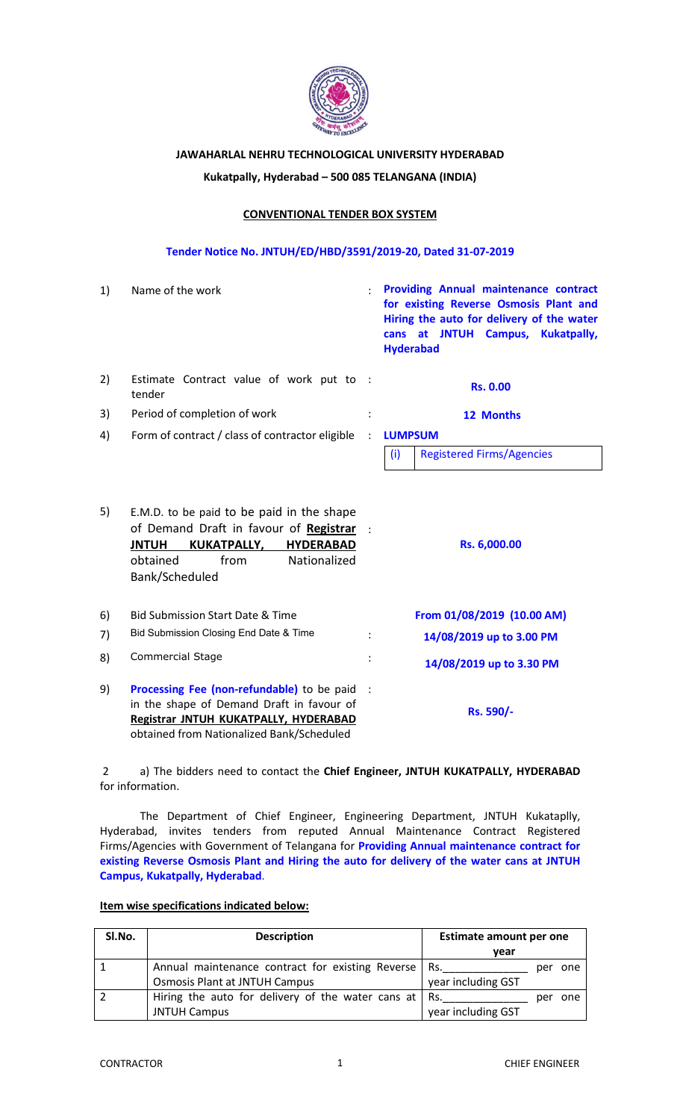

# **JAWAHARLAL NEHRU TECHNOLOGICAL UNIVERSITY HYDERABAD**

# **Kukatpally, Hyderabad – 500 085 TELANGANA (INDIA)**

# **CONVENTIONAL TENDER BOX SYSTEM**

### **Tender Notice No. JNTUH/ED/HBD/3591/2019-20, Dated 31-07-2019**

| 1) | Name of the work                                                                                                                                                                                    |  | <b>Providing Annual maintenance contract</b><br>for existing Reverse Osmosis Plant and<br>Hiring the auto for delivery of the water<br>at JNTUH Campus,<br><b>Kukatpally,</b><br>cans<br><b>Hyderabad</b> |  |
|----|-----------------------------------------------------------------------------------------------------------------------------------------------------------------------------------------------------|--|-----------------------------------------------------------------------------------------------------------------------------------------------------------------------------------------------------------|--|
| 2) | Estimate Contract value of work put to :<br>tender                                                                                                                                                  |  | <b>Rs. 0.00</b>                                                                                                                                                                                           |  |
| 3) | Period of completion of work                                                                                                                                                                        |  | 12 Months                                                                                                                                                                                                 |  |
| 4) | Form of contract / class of contractor eligible                                                                                                                                                     |  | <b>LUMPSUM</b><br>(i)<br><b>Registered Firms/Agencies</b>                                                                                                                                                 |  |
| 5) | E.M.D. to be paid to be paid in the shape<br>of Demand Draft in favour of Registrar<br><b>JNTUH</b><br><b>KUKATPALLY,</b><br><b>HYDERABAD</b><br>obtained<br>from<br>Nationalized<br>Bank/Scheduled |  | Rs. 6,000.00                                                                                                                                                                                              |  |
| 6) | <b>Bid Submission Start Date &amp; Time</b>                                                                                                                                                         |  | From 01/08/2019 (10.00 AM)                                                                                                                                                                                |  |
| 7) | Bid Submission Closing End Date & Time                                                                                                                                                              |  | 14/08/2019 up to 3.00 PM                                                                                                                                                                                  |  |
| 8) | Commercial Stage                                                                                                                                                                                    |  | 14/08/2019 up to 3.30 PM                                                                                                                                                                                  |  |
| 9) | Processing Fee (non-refundable) to be paid<br>in the shape of Demand Draft in favour of<br>Registrar JNTUH KUKATPALLY, HYDERABAD<br>obtained from Nationalized Bank/Scheduled                       |  | Rs. 590/-                                                                                                                                                                                                 |  |

2 a) The bidders need to contact the **Chief Engineer, JNTUH KUKATPALLY, HYDERABAD**  for information.

The Department of Chief Engineer, Engineering Department, JNTUH Kukataplly, Hyderabad, invites tenders from reputed Annual Maintenance Contract Registered Firms/Agencies with Government of Telangana for **Providing Annual maintenance contract for existing Reverse Osmosis Plant and Hiring the auto for delivery of the water cans at JNTUH Campus, Kukatpally, Hyderabad**.

#### **Item wise specifications indicated below:**

| SI.No. | <b>Description</b>                                | <b>Estimate amount per one</b> |  |
|--------|---------------------------------------------------|--------------------------------|--|
|        |                                                   | vear                           |  |
|        | Annual maintenance contract for existing Reverse  | Rs.<br>one<br>per              |  |
|        | <b>Osmosis Plant at JNTUH Campus</b>              | year including GST             |  |
|        | Hiring the auto for delivery of the water cans at | Rs.<br>one<br>per              |  |
|        | <b>JNTUH Campus</b>                               | year including GST             |  |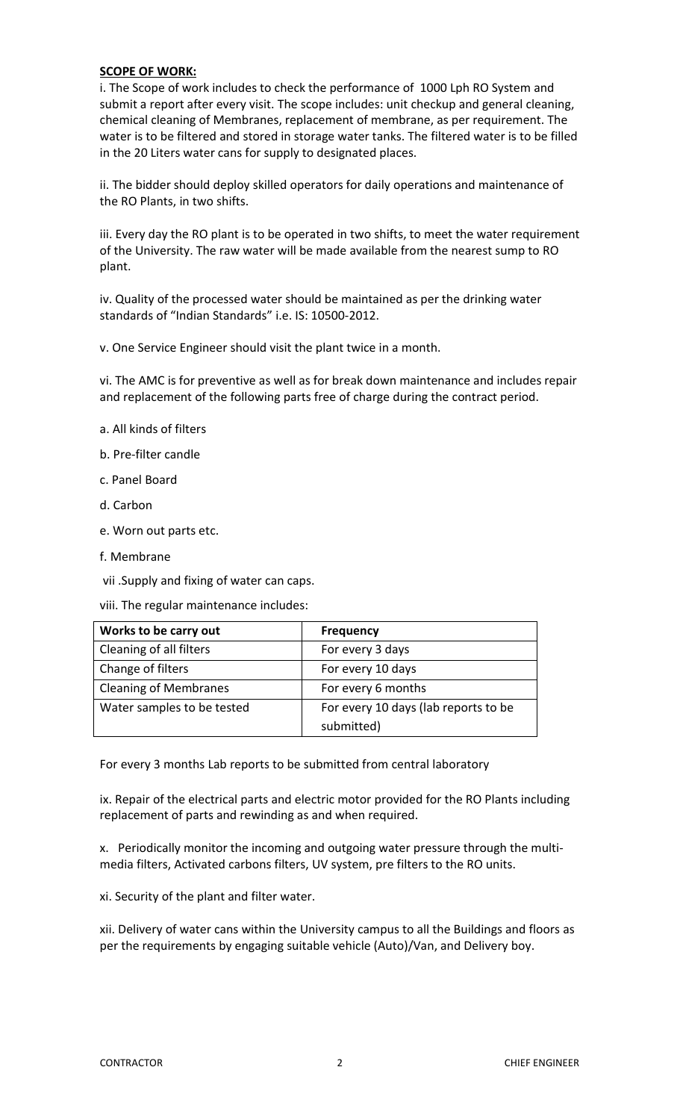# **SCOPE OF WORK:**

i. The Scope of work includes to check the performance of 1000 Lph RO System and submit a report after every visit. The scope includes: unit checkup and general cleaning, chemical cleaning of Membranes, replacement of membrane, as per requirement. The water is to be filtered and stored in storage water tanks. The filtered water is to be filled in the 20 Liters water cans for supply to designated places.

ii. The bidder should deploy skilled operators for daily operations and maintenance of the RO Plants, in two shifts.

iii. Every day the RO plant is to be operated in two shifts, to meet the water requirement of the University. The raw water will be made available from the nearest sump to RO plant.

iv. Quality of the processed water should be maintained as per the drinking water standards of "Indian Standards" i.e. IS: 10500-2012.

v. One Service Engineer should visit the plant twice in a month.

vi. The AMC is for preventive as well as for break down maintenance and includes repair and replacement of the following parts free of charge during the contract period.

- a. All kinds of filters
- b. Pre-filter candle
- c. Panel Board
- d. Carbon
- e. Worn out parts etc.
- f. Membrane
- vii .Supply and fixing of water can caps.
- viii. The regular maintenance includes:

| Works to be carry out        | <b>Frequency</b>                     |
|------------------------------|--------------------------------------|
| Cleaning of all filters      | For every 3 days                     |
| Change of filters            | For every 10 days                    |
| <b>Cleaning of Membranes</b> | For every 6 months                   |
| Water samples to be tested   | For every 10 days (lab reports to be |
|                              | submitted)                           |

For every 3 months Lab reports to be submitted from central laboratory

ix. Repair of the electrical parts and electric motor provided for the RO Plants including replacement of parts and rewinding as and when required.

x. Periodically monitor the incoming and outgoing water pressure through the multimedia filters, Activated carbons filters, UV system, pre filters to the RO units.

xi. Security of the plant and filter water.

xii. Delivery of water cans within the University campus to all the Buildings and floors as per the requirements by engaging suitable vehicle (Auto)/Van, and Delivery boy.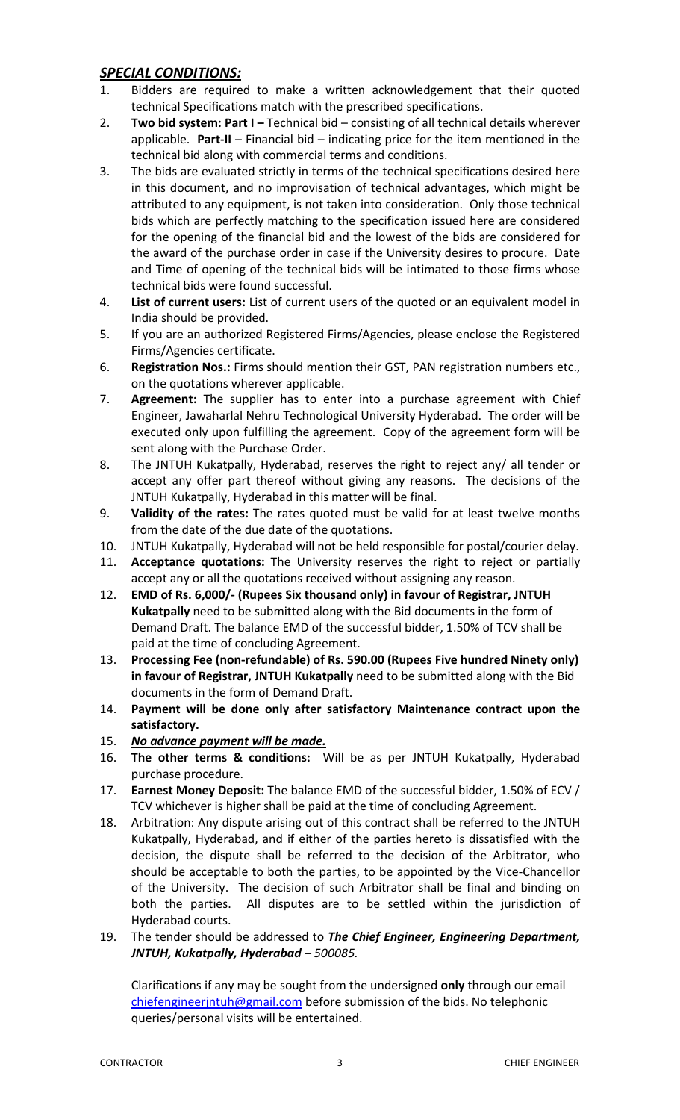# *SPECIAL CONDITIONS:*

- 1. Bidders are required to make a written acknowledgement that their quoted technical Specifications match with the prescribed specifications.
- 2. **Two bid system: Part I –** Technical bid consisting of all technical details wherever applicable. **Part-II** – Financial bid – indicating price for the item mentioned in the technical bid along with commercial terms and conditions.
- 3. The bids are evaluated strictly in terms of the technical specifications desired here in this document, and no improvisation of technical advantages, which might be attributed to any equipment, is not taken into consideration. Only those technical bids which are perfectly matching to the specification issued here are considered for the opening of the financial bid and the lowest of the bids are considered for the award of the purchase order in case if the University desires to procure. Date and Time of opening of the technical bids will be intimated to those firms whose technical bids were found successful.
- 4. **List of current users:** List of current users of the quoted or an equivalent model in India should be provided.
- 5. If you are an authorized Registered Firms/Agencies, please enclose the Registered Firms/Agencies certificate.
- 6. **Registration Nos.:** Firms should mention their GST, PAN registration numbers etc., on the quotations wherever applicable.
- 7. **Agreement:** The supplier has to enter into a purchase agreement with Chief Engineer, Jawaharlal Nehru Technological University Hyderabad. The order will be executed only upon fulfilling the agreement. Copy of the agreement form will be sent along with the Purchase Order.
- 8. The JNTUH Kukatpally, Hyderabad, reserves the right to reject any/ all tender or accept any offer part thereof without giving any reasons. The decisions of the JNTUH Kukatpally, Hyderabad in this matter will be final.
- 9. **Validity of the rates:** The rates quoted must be valid for at least twelve months from the date of the due date of the quotations.
- 10. JNTUH Kukatpally, Hyderabad will not be held responsible for postal/courier delay.
- 11. **Acceptance quotations:** The University reserves the right to reject or partially accept any or all the quotations received without assigning any reason.
- 12. **EMD of Rs. 6,000/- (Rupees Six thousand only) in favour of Registrar, JNTUH Kukatpally** need to be submitted along with the Bid documents in the form of Demand Draft. The balance EMD of the successful bidder, 1.50% of TCV shall be paid at the time of concluding Agreement.
- 13. **Processing Fee (non-refundable) of Rs. 590.00 (Rupees Five hundred Ninety only) in favour of Registrar, JNTUH Kukatpally** need to be submitted along with the Bid documents in the form of Demand Draft.
- 14. **Payment will be done only after satisfactory Maintenance contract upon the satisfactory.**
- 15. *No advance payment will be made.*
- 16. **The other terms & conditions:** Will be as per JNTUH Kukatpally, Hyderabad purchase procedure.
- 17. **Earnest Money Deposit:** The balance EMD of the successful bidder, 1.50% of ECV / TCV whichever is higher shall be paid at the time of concluding Agreement.
- 18. Arbitration: Any dispute arising out of this contract shall be referred to the JNTUH Kukatpally, Hyderabad, and if either of the parties hereto is dissatisfied with the decision, the dispute shall be referred to the decision of the Arbitrator, who should be acceptable to both the parties, to be appointed by the Vice-Chancellor of the University. The decision of such Arbitrator shall be final and binding on both the parties. All disputes are to be settled within the jurisdiction of Hyderabad courts.

# 19. The tender should be addressed to *The Chief Engineer, Engineering Department, JNTUH, Kukatpally, Hyderabad – 500085.*

Clarifications if any may be sought from the undersigned **only** through our email chiefengineerjntuh@gmail.com before submission of the bids. No telephonic queries/personal visits will be entertained.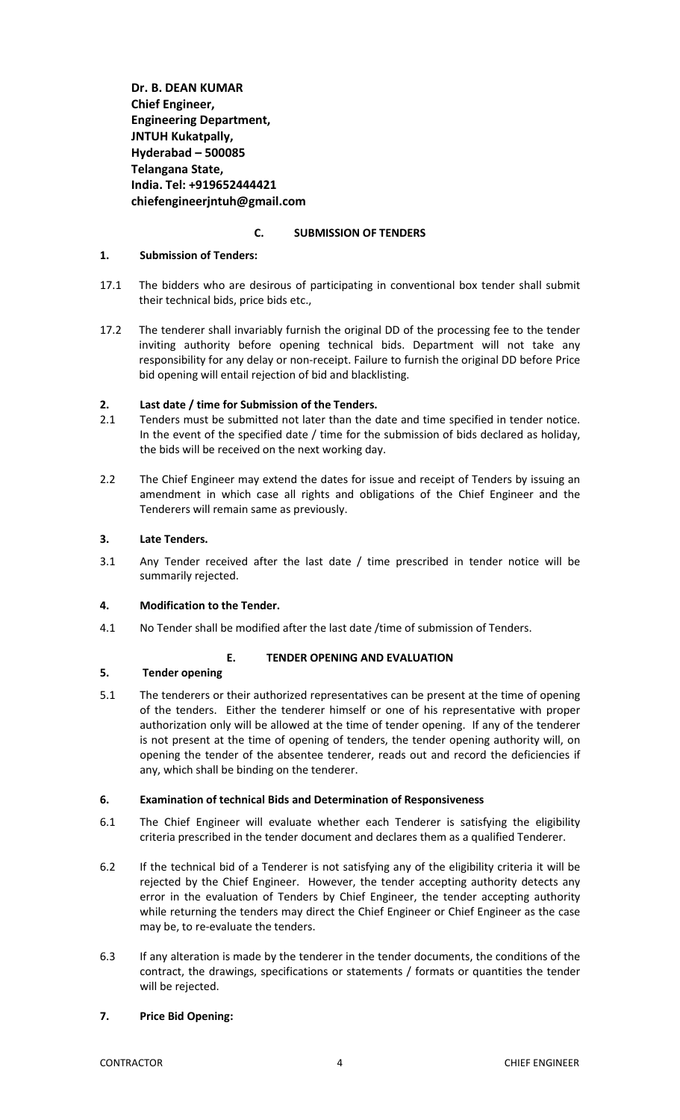**Dr. B. DEAN KUMAR Chief Engineer, Engineering Department, JNTUH Kukatpally, Hyderabad – 500085 Telangana State, India. Tel: +919652444421 chiefengineerjntuh@gmail.com**

#### **C. SUBMISSION OF TENDERS**

#### **1. Submission of Tenders:**

- 17.1 The bidders who are desirous of participating in conventional box tender shall submit their technical bids, price bids etc.,
- 17.2 The tenderer shall invariably furnish the original DD of the processing fee to the tender inviting authority before opening technical bids. Department will not take any responsibility for any delay or non-receipt. Failure to furnish the original DD before Price bid opening will entail rejection of bid and blacklisting.

#### **2. Last date / time for Submission of the Tenders.**

- 2.1 Tenders must be submitted not later than the date and time specified in tender notice. In the event of the specified date / time for the submission of bids declared as holiday, the bids will be received on the next working day.
- 2.2 The Chief Engineer may extend the dates for issue and receipt of Tenders by issuing an amendment in which case all rights and obligations of the Chief Engineer and the Tenderers will remain same as previously.

### **3. Late Tenders.**

3.1 Any Tender received after the last date / time prescribed in tender notice will be summarily rejected.

#### **4. Modification to the Tender.**

4.1 No Tender shall be modified after the last date /time of submission of Tenders.

#### **E. TENDER OPENING AND EVALUATION**

# **5. Tender opening**

5.1 The tenderers or their authorized representatives can be present at the time of opening of the tenders. Either the tenderer himself or one of his representative with proper authorization only will be allowed at the time of tender opening. If any of the tenderer is not present at the time of opening of tenders, the tender opening authority will, on opening the tender of the absentee tenderer, reads out and record the deficiencies if any, which shall be binding on the tenderer.

#### **6. Examination of technical Bids and Determination of Responsiveness**

- 6.1 The Chief Engineer will evaluate whether each Tenderer is satisfying the eligibility criteria prescribed in the tender document and declares them as a qualified Tenderer.
- 6.2 If the technical bid of a Tenderer is not satisfying any of the eligibility criteria it will be rejected by the Chief Engineer. However, the tender accepting authority detects any error in the evaluation of Tenders by Chief Engineer, the tender accepting authority while returning the tenders may direct the Chief Engineer or Chief Engineer as the case may be, to re-evaluate the tenders.
- 6.3 If any alteration is made by the tenderer in the tender documents, the conditions of the contract, the drawings, specifications or statements / formats or quantities the tender will be rejected.

# **7. Price Bid Opening:**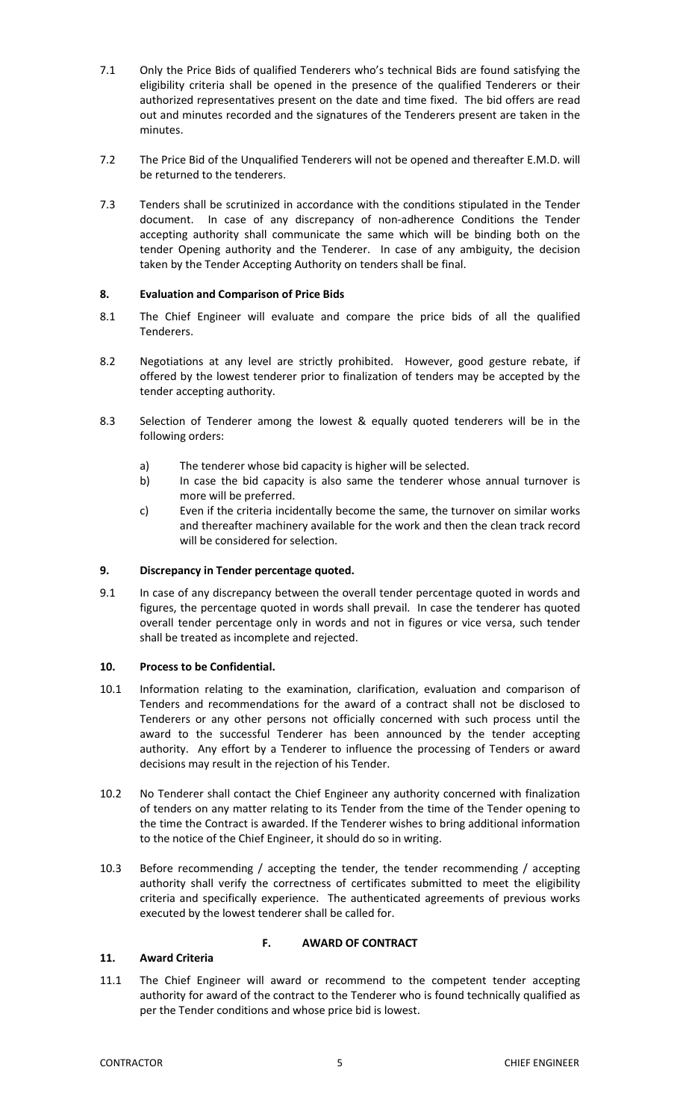- 7.1 Only the Price Bids of qualified Tenderers who's technical Bids are found satisfying the eligibility criteria shall be opened in the presence of the qualified Tenderers or their authorized representatives present on the date and time fixed. The bid offers are read out and minutes recorded and the signatures of the Tenderers present are taken in the minutes.
- 7.2 The Price Bid of the Unqualified Tenderers will not be opened and thereafter E.M.D. will be returned to the tenderers.
- 7.3 Tenders shall be scrutinized in accordance with the conditions stipulated in the Tender document. In case of any discrepancy of non-adherence Conditions the Tender accepting authority shall communicate the same which will be binding both on the tender Opening authority and the Tenderer. In case of any ambiguity, the decision taken by the Tender Accepting Authority on tenders shall be final.

# **8. Evaluation and Comparison of Price Bids**

- 8.1 The Chief Engineer will evaluate and compare the price bids of all the qualified Tenderers.
- 8.2 Negotiations at any level are strictly prohibited. However, good gesture rebate, if offered by the lowest tenderer prior to finalization of tenders may be accepted by the tender accepting authority.
- 8.3 Selection of Tenderer among the lowest & equally quoted tenderers will be in the following orders:
	- a) The tenderer whose bid capacity is higher will be selected.
	- b) In case the bid capacity is also same the tenderer whose annual turnover is more will be preferred.
	- c) Even if the criteria incidentally become the same, the turnover on similar works and thereafter machinery available for the work and then the clean track record will be considered for selection.

#### **9. Discrepancy in Tender percentage quoted.**

9.1 In case of any discrepancy between the overall tender percentage quoted in words and figures, the percentage quoted in words shall prevail. In case the tenderer has quoted overall tender percentage only in words and not in figures or vice versa, such tender shall be treated as incomplete and rejected.

#### **10. Process to be Confidential.**

- 10.1 Information relating to the examination, clarification, evaluation and comparison of Tenders and recommendations for the award of a contract shall not be disclosed to Tenderers or any other persons not officially concerned with such process until the award to the successful Tenderer has been announced by the tender accepting authority. Any effort by a Tenderer to influence the processing of Tenders or award decisions may result in the rejection of his Tender.
- 10.2 No Tenderer shall contact the Chief Engineer any authority concerned with finalization of tenders on any matter relating to its Tender from the time of the Tender opening to the time the Contract is awarded. If the Tenderer wishes to bring additional information to the notice of the Chief Engineer, it should do so in writing.
- 10.3 Before recommending / accepting the tender, the tender recommending / accepting authority shall verify the correctness of certificates submitted to meet the eligibility criteria and specifically experience. The authenticated agreements of previous works executed by the lowest tenderer shall be called for.

# **11. Award Criteria**

#### **F. AWARD OF CONTRACT**

11.1 The Chief Engineer will award or recommend to the competent tender accepting authority for award of the contract to the Tenderer who is found technically qualified as per the Tender conditions and whose price bid is lowest.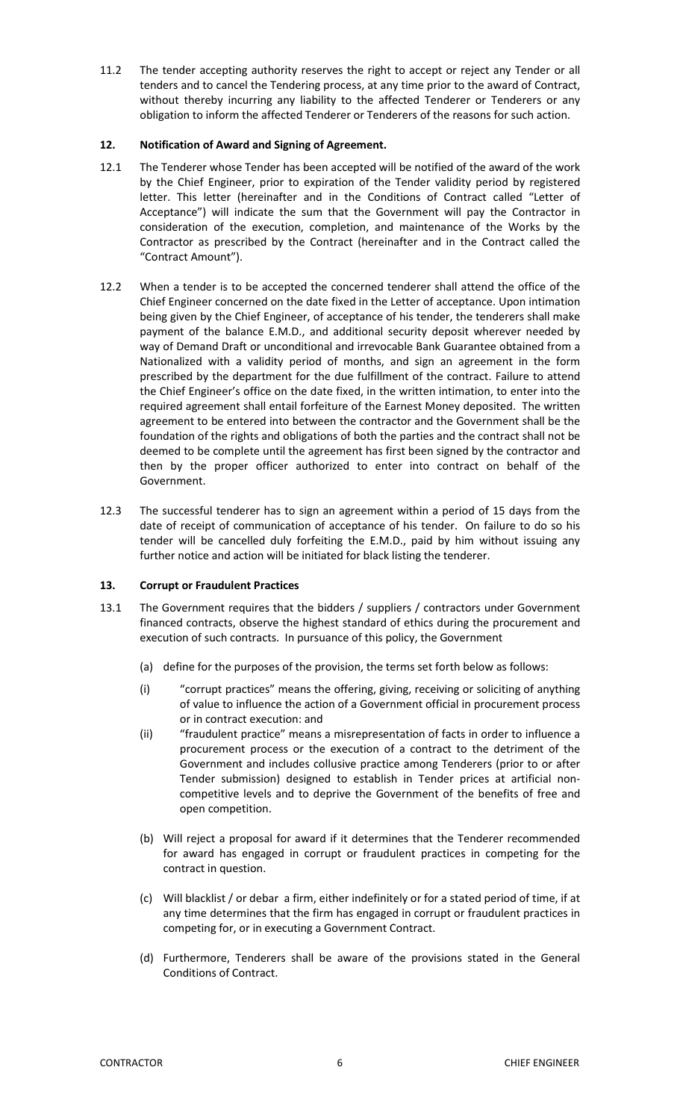11.2 The tender accepting authority reserves the right to accept or reject any Tender or all tenders and to cancel the Tendering process, at any time prior to the award of Contract, without thereby incurring any liability to the affected Tenderer or Tenderers or any obligation to inform the affected Tenderer or Tenderers of the reasons for such action.

### **12. Notification of Award and Signing of Agreement.**

- 12.1 The Tenderer whose Tender has been accepted will be notified of the award of the work by the Chief Engineer, prior to expiration of the Tender validity period by registered letter. This letter (hereinafter and in the Conditions of Contract called "Letter of Acceptance") will indicate the sum that the Government will pay the Contractor in consideration of the execution, completion, and maintenance of the Works by the Contractor as prescribed by the Contract (hereinafter and in the Contract called the "Contract Amount").
- 12.2 When a tender is to be accepted the concerned tenderer shall attend the office of the Chief Engineer concerned on the date fixed in the Letter of acceptance. Upon intimation being given by the Chief Engineer, of acceptance of his tender, the tenderers shall make payment of the balance E.M.D., and additional security deposit wherever needed by way of Demand Draft or unconditional and irrevocable Bank Guarantee obtained from a Nationalized with a validity period of months, and sign an agreement in the form prescribed by the department for the due fulfillment of the contract. Failure to attend the Chief Engineer's office on the date fixed, in the written intimation, to enter into the required agreement shall entail forfeiture of the Earnest Money deposited. The written agreement to be entered into between the contractor and the Government shall be the foundation of the rights and obligations of both the parties and the contract shall not be deemed to be complete until the agreement has first been signed by the contractor and then by the proper officer authorized to enter into contract on behalf of the Government.
- 12.3 The successful tenderer has to sign an agreement within a period of 15 days from the date of receipt of communication of acceptance of his tender. On failure to do so his tender will be cancelled duly forfeiting the E.M.D., paid by him without issuing any further notice and action will be initiated for black listing the tenderer.

# **13. Corrupt or Fraudulent Practices**

- 13.1 The Government requires that the bidders / suppliers / contractors under Government financed contracts, observe the highest standard of ethics during the procurement and execution of such contracts. In pursuance of this policy, the Government
	- (a) define for the purposes of the provision, the terms set forth below as follows:
	- (i) "corrupt practices" means the offering, giving, receiving or soliciting of anything of value to influence the action of a Government official in procurement process or in contract execution: and
	- (ii) "fraudulent practice" means a misrepresentation of facts in order to influence a procurement process or the execution of a contract to the detriment of the Government and includes collusive practice among Tenderers (prior to or after Tender submission) designed to establish in Tender prices at artificial noncompetitive levels and to deprive the Government of the benefits of free and open competition.
	- (b) Will reject a proposal for award if it determines that the Tenderer recommended for award has engaged in corrupt or fraudulent practices in competing for the contract in question.
	- (c) Will blacklist / or debar a firm, either indefinitely or for a stated period of time, if at any time determines that the firm has engaged in corrupt or fraudulent practices in competing for, or in executing a Government Contract.
	- (d) Furthermore, Tenderers shall be aware of the provisions stated in the General Conditions of Contract.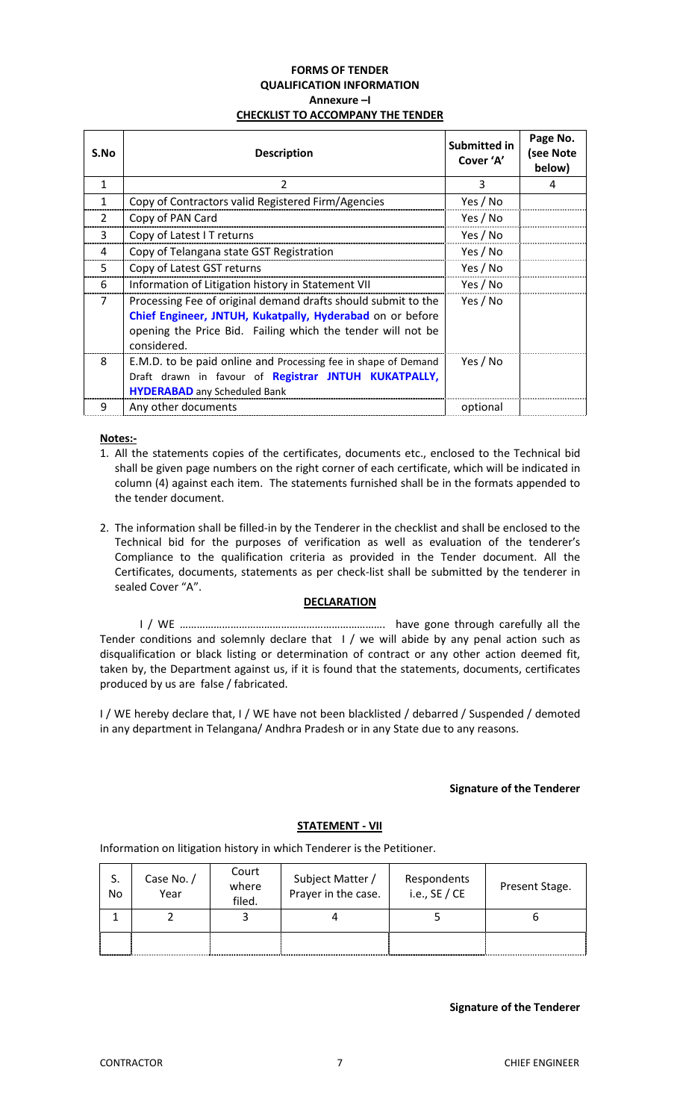#### **FORMS OF TENDER QUALIFICATION INFORMATION Annexure –I CHECKLIST TO ACCOMPANY THE TENDER**

| S.No           | <b>Description</b>                                                                                                                                                                                       | Submitted in<br>Cover 'A' | Page No.<br>(see Note<br>below) |
|----------------|----------------------------------------------------------------------------------------------------------------------------------------------------------------------------------------------------------|---------------------------|---------------------------------|
| 1              | 2                                                                                                                                                                                                        | 3                         | 4                               |
| 1              | Copy of Contractors valid Registered Firm/Agencies                                                                                                                                                       | Yes / No                  |                                 |
| $\overline{2}$ | Copy of PAN Card                                                                                                                                                                                         | Yes / No                  |                                 |
| 3              | Copy of Latest I T returns                                                                                                                                                                               | Yes / No                  |                                 |
| 4              | Copy of Telangana state GST Registration                                                                                                                                                                 | Yes / No                  |                                 |
| 5              | Copy of Latest GST returns                                                                                                                                                                               | Yes / No                  |                                 |
| 6              | Information of Litigation history in Statement VII                                                                                                                                                       | Yes / No                  |                                 |
| $\overline{7}$ | Processing Fee of original demand drafts should submit to the<br>Chief Engineer, JNTUH, Kukatpally, Hyderabad on or before<br>opening the Price Bid. Failing which the tender will not be<br>considered. | Yes / No                  |                                 |
| 8              | E.M.D. to be paid online and Processing fee in shape of Demand<br>Draft drawn in favour of Registrar JNTUH KUKATPALLY,<br><b>HYDERABAD</b> any Scheduled Bank                                            | Yes / No                  |                                 |
| 9              | Any other documents                                                                                                                                                                                      | optional                  |                                 |

#### **Notes:-**

- 1. All the statements copies of the certificates, documents etc., enclosed to the Technical bid shall be given page numbers on the right corner of each certificate, which will be indicated in column (4) against each item. The statements furnished shall be in the formats appended to the tender document.
- 2. The information shall be filled-in by the Tenderer in the checklist and shall be enclosed to the Technical bid for the purposes of verification as well as evaluation of the tenderer's Compliance to the qualification criteria as provided in the Tender document. All the Certificates, documents, statements as per check-list shall be submitted by the tenderer in sealed Cover "A".

# **DECLARATION**

I / WE ………………………………………………………………. have gone through carefully all the Tender conditions and solemnly declare that I / we will abide by any penal action such as disqualification or black listing or determination of contract or any other action deemed fit, taken by, the Department against us, if it is found that the statements, documents, certificates produced by us are false / fabricated.

I / WE hereby declare that, I / WE have not been blacklisted / debarred / Suspended / demoted in any department in Telangana/ Andhra Pradesh or in any State due to any reasons.

# **Signature of the Tenderer**

# **STATEMENT - VII**

Information on litigation history in which Tenderer is the Petitioner.

| S.<br>No | Case No. /<br>Year | Court<br>where<br>filed. | Subject Matter /<br>Prayer in the case. | Respondents<br>i.e., $SE / CE$ | Present Stage. |
|----------|--------------------|--------------------------|-----------------------------------------|--------------------------------|----------------|
|          |                    |                          |                                         |                                |                |
|          |                    |                          |                                         |                                |                |

### **Signature of the Tenderer**